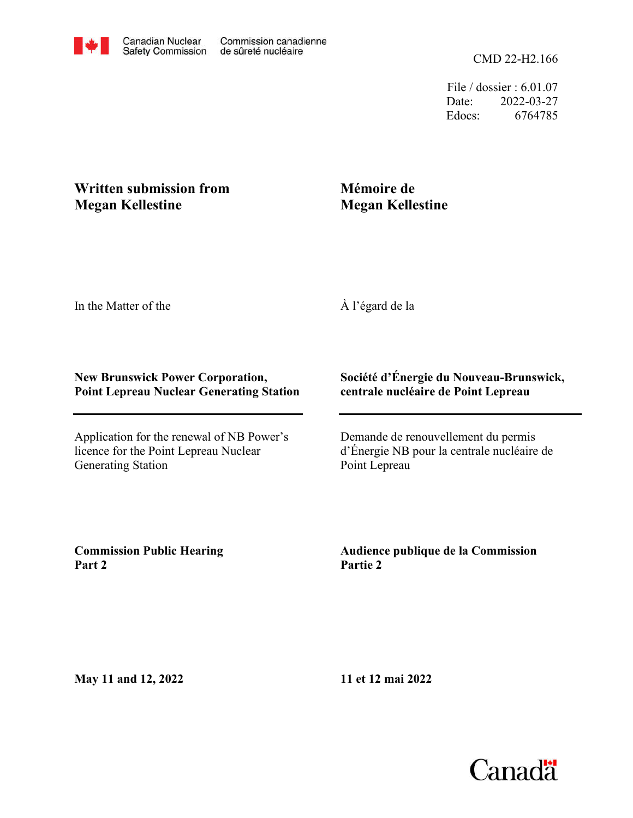File / dossier : 6.01.07 Date: 2022-03-27 Edocs: 6764785

## **Written submission from Megan Kellestine**

## **Mémoire de Megan Kellestine**

In the Matter of the

À l'égard de la

## **New Brunswick Power Corporation, Point Lepreau Nuclear Generating Station**

Application for the renewal of NB Power's licence for the Point Lepreau Nuclear Generating Station

## **Société d'Énergie du Nouveau-Brunswick, centrale nucléaire de Point Lepreau**

Demande de renouvellement du permis d'Énergie NB pour la centrale nucléaire de Point Lepreau

**Commission Public Hearing Part 2**

**Audience publique de la Commission Partie 2**

**May 11 and 12, 2022**

**11 et 12 mai 2022**